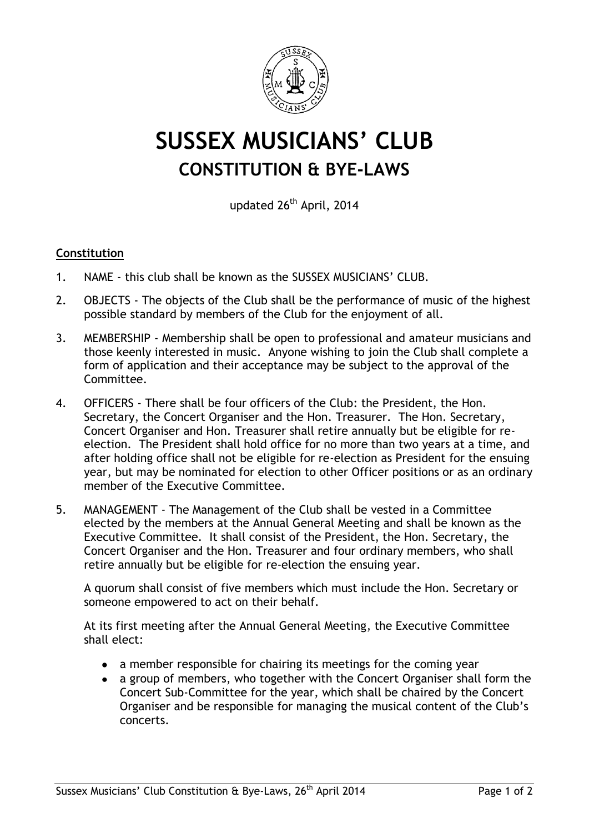

## **SUSSEX MUSICIANS' CLUB CONSTITUTION & BYE-LAWS**

updated 26<sup>th</sup> April, 2014

## **Constitution**

- 1. NAME this club shall be known as the SUSSEX MUSICIANS' CLUB.
- 2. OBJECTS The objects of the Club shall be the performance of music of the highest possible standard by members of the Club for the enjoyment of all.
- 3. MEMBERSHIP Membership shall be open to professional and amateur musicians and those keenly interested in music. Anyone wishing to join the Club shall complete a form of application and their acceptance may be subject to the approval of the Committee.
- 4. OFFICERS There shall be four officers of the Club: the President, the Hon. Secretary, the Concert Organiser and the Hon. Treasurer. The Hon. Secretary, Concert Organiser and Hon. Treasurer shall retire annually but be eligible for reelection. The President shall hold office for no more than two years at a time, and after holding office shall not be eligible for re-election as President for the ensuing year, but may be nominated for election to other Officer positions or as an ordinary member of the Executive Committee.
- 5. MANAGEMENT The Management of the Club shall be vested in a Committee elected by the members at the Annual General Meeting and shall be known as the Executive Committee. It shall consist of the President, the Hon. Secretary, the Concert Organiser and the Hon. Treasurer and four ordinary members, who shall retire annually but be eligible for re-election the ensuing year.

A quorum shall consist of five members which must include the Hon. Secretary or someone empowered to act on their behalf.

At its first meeting after the Annual General Meeting, the Executive Committee shall elect:

- a member responsible for chairing its meetings for the coming year
- a group of members, who together with the Concert Organiser shall form the Concert Sub-Committee for the year, which shall be chaired by the Concert Organiser and be responsible for managing the musical content of the Club's concerts.